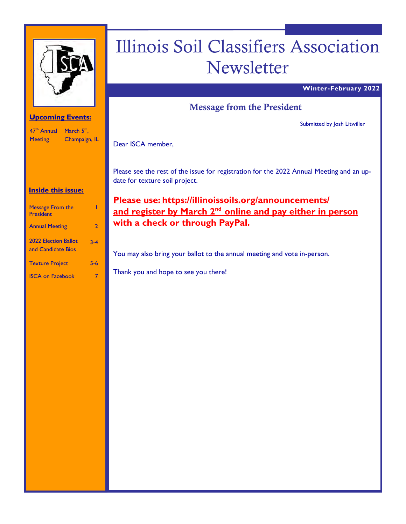

# Illinois Soil Classifiers Association Newsletter

#### **Winter-February 2022**

# Message from the President

Submitted by Josh Litwiller

Champaign, IL Dear ISCA member,

Please see the rest of the issue for registration for the 2022 Annual Meeting and an update for texture soil project.

**Please use: https://illinoissoils.org/announcements/**  and register by March 2<sup>nd</sup> online and pay either in person **with a check or through PayPal.** 

You may also bring your ballot to the annual meeting and vote in-person.

Thank you and hope to see you there!

#### **Upcoming Events:**

47<sup>th</sup> Annual March 5<sup>th</sup>, **Meeting** 

## **Inside this issue:**

| <b>Message From the</b><br><b>President</b>       |         |
|---------------------------------------------------|---------|
| <b>Annual Meeting</b>                             | 2       |
| <b>2022 Election Ballot</b><br>and Candidate Bios | $3 - 4$ |
| <b>Texture Project</b>                            | 5-6     |
| <b>ISCA on Facebook</b>                           |         |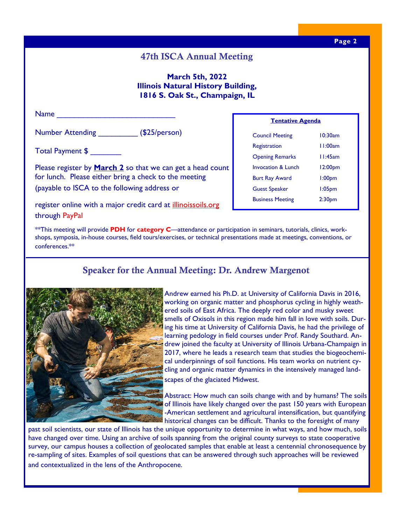# 47th ISCA Annual Meeting

#### **March 5th, 2022 Illinois Natural History Building, 1816 S. Oak St., Champaign, IL**

| <b>Name</b>                                                                                                                                                                |  |  |
|----------------------------------------------------------------------------------------------------------------------------------------------------------------------------|--|--|
|                                                                                                                                                                            |  |  |
| <b>Number Attending</b><br>(S25/person)                                                                                                                                    |  |  |
| Total Payment \$                                                                                                                                                           |  |  |
| Please register by <b>March 2</b> so that we can get a head count<br>for lunch. Please either bring a check to the meeting<br>(payable to ISCA to the following address or |  |  |
| register online with a major credit card at <i>illinoissoils.org</i>                                                                                                       |  |  |

| I CHICALIVE MECHUA            |                    |  |
|-------------------------------|--------------------|--|
| <b>Council Meeting</b>        | $10:30$ am         |  |
| Registration                  | 11:00am            |  |
| <b>Opening Remarks</b>        | 11:45am            |  |
| <b>Invocation &amp; Lunch</b> | 12:00pm            |  |
| <b>Burt Ray Award</b>         | l:00pm             |  |
| <b>Guest Speaker</b>          | 1:05 <sub>pm</sub> |  |
| <b>Business Meeting</b>       | 2:30 <sub>pm</sub> |  |

**Tentative Agenda** 

\*\*This meeting will provide **PDH** for **category C**—attendance or participation in seminars, tutorials, clinics, workshops, symposia, in-house courses, field tours/exercises, or technical presentations made at meetings, conventions, or conferences.\*\*

# Speaker for the Annual Meeting: Dr. Andrew Margenot



through PayPal

Andrew earned his Ph.D. at University of California Davis in 2016, working on organic matter and phosphorus cycling in highly weathered soils of East Africa. The deeply red color and musky sweet smells of Oxisols in this region made him fall in love with soils. During his time at University of California Davis, he had the privilege of learning pedology in field courses under Prof. Randy Southard. Andrew joined the faculty at University of Illinois Urbana-Champaign in 2017, where he leads a research team that studies the biogeochemical underpinnings of soil functions. His team works on nutrient cycling and organic matter dynamics in the intensively managed landscapes of the glaciated Midwest.

Abstract: How much can soils change with and by humans? The soils of Illinois have likely changed over the past 150 years with European -American settlement and agricultural intensification, but quantifying historical changes can be difficult. Thanks to the foresight of many

past soil scientists, our state of Illinois has the unique opportunity to determine in what ways, and how much, soils have changed over time. Using an archive of soils spanning from the original county surveys to state cooperative survey, our campus houses a collection of geolocated samples that enable at least a centennial chronosequence by re-sampling of sites. Examples of soil questions that can be answered through such approaches will be reviewed and contextualized in the lens of the Anthropocene.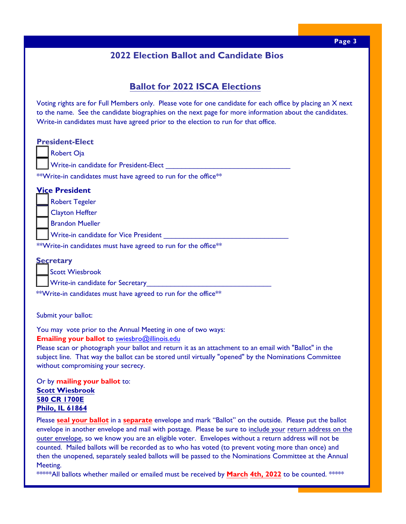# **2022 Election Ballot and Candidate Bios**

# **Ballot for 2022 ISCA Elections**

Voting rights are for Full Members only. Please vote for one candidate for each office by placing an X next to the name. See the candidate biographies on the next page for more information about the candidates. Write-in candidates must have agreed prior to the election to run for that office.

| <b>President-Elect</b>                                                                                                                 |
|----------------------------------------------------------------------------------------------------------------------------------------|
| Robert Oja                                                                                                                             |
| Write-in candidate for President-Elect                                                                                                 |
| **Write-in candidates must have agreed to run for the office**                                                                         |
| <b>Vice President</b>                                                                                                                  |
| <b>Robert Tegeler</b>                                                                                                                  |
| <b>Clayton Heffter</b>                                                                                                                 |
| <b>Brandon Mueller</b>                                                                                                                 |
| Write-in candidate for Vice President                                                                                                  |
| **Write-in candidates must have agreed to run for the office**                                                                         |
| <b>Secretary</b>                                                                                                                       |
| <b>Scott Wiesbrook</b>                                                                                                                 |
| <b>Write-in candidate for Secretary</b>                                                                                                |
| <b>C E CC</b> state<br>the contract of the contract of the contract of the contract of the contract of the contract of the contract of |

\*\*Write-in candidates must have agreed to run for the office\*\*

Submit your ballot:

You may vote prior to the Annual Meeting in one of two ways:

**Emailing your ballot** to swiesbro@illinois.edu

Please scan or photograph [your ballot and return](mailto:swiesbro@illinois.edu) it as an attachment to an email with "Ballot" in the subject line. That way the ballot can be stored until virtually "opened" by the Nominations Committee without compromising your secrecy.

Or by **mailing your ballot** to: **Scott Wiesbrook 580 CR 1700E Philo, IL 61864**

Please **seal your ballot** in a **separate** envelope and mark "Ballot" on the outside. Please put the ballot envelope in another envelope and mail with postage. Please be sure to include your return address on the outer envelope, so we know you are an eligible voter. Envelopes without a return address will not be counted. Mailed ballots will be recorded as to who has voted (to prevent voting more than once) and then the unopened, separately sealed ballots will be passed to the Nominations Committee at the Annual Meeting.

\*\*\*\*\*All ballots whether mailed or emailed must be received by **March 4th, 2022** to be counted. \*\*\*\*\*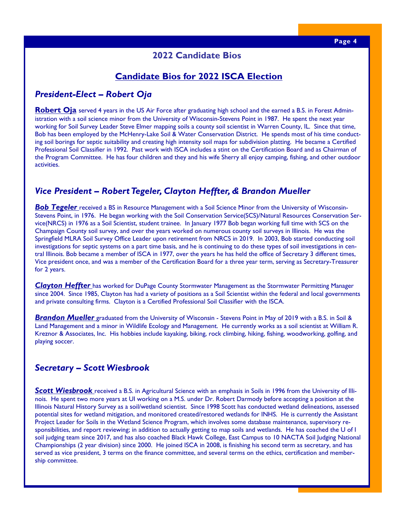#### **2022 Candidate Bios**

### **Candidate Bios for 2022 ISCA Election**

#### *President-Elect – Robert Oja*

**Robert Oja** served 4 years in the US Air Force after graduating high school and the earned a B.S. in Forest Administration with a soil science minor from the University of Wisconsin-Stevens Point in 1987. He spent the next year working for Soil Survey Leader Steve Elmer mapping soils a county soil scientist in Warren County, IL. Since that time, Bob has been employed by the McHenry-Lake Soil & Water Conservation District. He spends most of his time conducting soil borings for septic suitability and creating high intensity soil maps for subdivision platting. He became a Certified Professional Soil Classifier in 1992. Past work with ISCA includes a stint on the Certification Board and as Chairman of the Program Committee. He has four children and they and his wife Sherry all enjoy camping, fishing, and other outdoor activities.

### *Vice President – Robert Tegeler, Clayton Heffter, & Brandon Mueller*

**Bob Tegeler** received a BS in Resource Management with a Soil Science Minor from the University of Wisconsin-Stevens Point, in 1976. He began working with the Soil Conservation Service(SCS)/Natural Resources Conservation Service(NRCS) in 1976 as a Soil Scientist, student trainee. In January 1977 Bob began working full time with SCS on the Champaign County soil survey, and over the years worked on numerous county soil surveys in Illinois. He was the Springfield MLRA Soil Survey Office Leader upon retirement from NRCS in 2019. In 2003, Bob started conducting soil investigations for septic systems on a part time basis, and he is continuing to do these types of soil investigations in central Illinois. Bob became a member of ISCA in 1977, over the years he has held the office of Secretary 3 different times, Vice president once, and was a member of the Certification Board for a three year term, serving as Secretary-Treasurer for 2 years.

*Clayton Heffter* has worked for DuPage County Stormwater Management as the Stormwater Permitting Manager since 2004. Since 1985, Clayton has had a variety of positions as a Soil Scientist within the federal and local governments and private consulting firms. Clayton is a Certified Professional Soil Classifier with the ISCA.

*Brandon Mueller* graduated from the University of Wisconsin - Stevens Point in May of 2019 with a B.S. in Soil & Land Management and a minor in Wildlife Ecology and Management. He currently works as a soil scientist at William R. Kreznor & Associates, Inc. His hobbies include kayaking, biking, rock climbing, hiking, fishing, woodworking, golfing, and playing soccer.

#### *Secretary – Scott Wiesbrook*

*Scott Wiesbrook* received a B.S. in Agricultural Science with an emphasis in Soils in 1996 from the University of Illinois. He spent two more years at UI working on a M.S. under Dr. Robert Darmody before accepting a position at the Illinois Natural History Survey as a soil/wetland scientist. Since 1998 Scott has conducted wetland delineations, assessed potential sites for wetland mitigation, and monitored created/restored wetlands for INHS. He is currently the Assistant Project Leader for Soils in the Wetland Science Program, which involves some database maintenance, supervisory responsibilities, and report reviewing; in addition to actually getting to map soils and wetlands. He has coached the U of I soil judging team since 2017, and has also coached Black Hawk College, East Campus to 10 NACTA Soil Judging National Championships (2 year division) since 2000. He joined ISCA in 2008, is finishing his second term as secretary, and has served as vice president, 3 terms on the finance committee, and several terms on the ethics, certification and membership committee.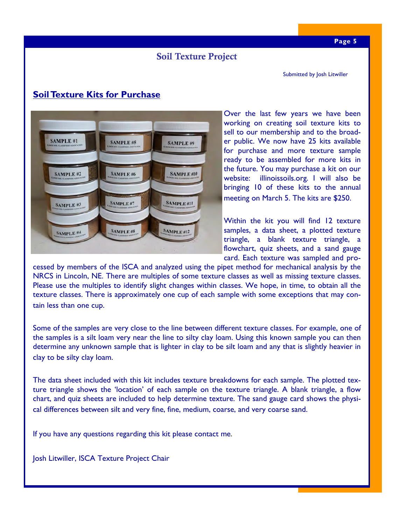# Soil Texture Project

Submitted by Josh Litwiller

**Soil Texture Kits for Purchase** 



Over the last few years we have been working on creating soil texture kits to sell to our membership and to the broader public. We now have 25 kits available for purchase and more texture sample ready to be assembled for more kits in the future. You may purchase a kit on our website: illinoissoils.org. I will also be bringing 10 of these kits to the annual meeting on March 5. The kits are \$250.

Within the kit you will find 12 texture samples, a data sheet, a plotted texture triangle, a blank texture triangle, a flowchart, quiz sheets, and a sand gauge card. Each texture was sampled and pro-

cessed by members of the ISCA and analyzed using the pipet method for mechanical analysis by the NRCS in Lincoln, NE. There are multiples of some texture classes as well as missing texture classes. Please use the multiples to identify slight changes within classes. We hope, in time, to obtain all the texture classes. There is approximately one cup of each sample with some exceptions that may contain less than one cup.

Some of the samples are very close to the line between different texture classes. For example, one of the samples is a silt loam very near the line to silty clay loam. Using this known sample you can then determine any unknown sample that is lighter in clay to be silt loam and any that is slightly heavier in clay to be silty clay loam.

The data sheet included with this kit includes texture breakdowns for each sample. The plotted texture triangle shows the 'location' of each sample on the texture triangle. A blank triangle, a flow chart, and quiz sheets are included to help determine texture. The sand gauge card shows the physical differences between silt and very fine, fine, medium, coarse, and very coarse sand.

If you have any questions regarding this kit please contact me.

Josh Litwiller, ISCA Texture Project Chair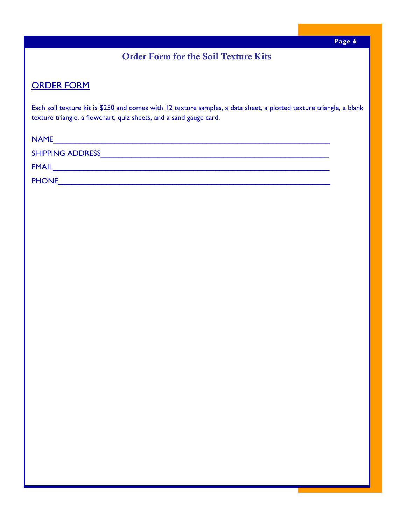# Order Form for the Soil Texture Kits

# ORDER FORM

Each soil texture kit is \$250 and comes with 12 texture samples, a data sheet, a plotted texture triangle, a blank texture triangle, a flowchart, quiz sheets, and a sand gauge card.

| <b>NAME</b>             |  |
|-------------------------|--|
| <b>SHIPPING ADDRESS</b> |  |
| <b>EMAIL</b>            |  |
| <b>PHONE</b>            |  |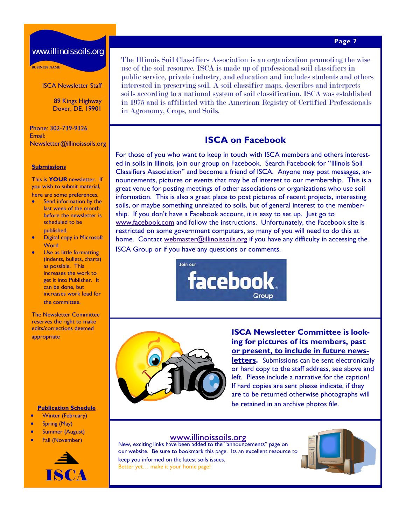#### **Page 7**

### www.illinoissoils.org

BUSINESS NAME

ISCA Newsletter Staff

89 Kings Highway Dover, DE, 19901

Phone: 302-739-9326 Email: Newsletter@illinoissoils.org

#### **Submissions**

This is **YOUR** newsletter. If you wish to submit material, here are some preferences.

- Send information by the last week of the month before the newsletter is scheduled to be published.
- Digital copy in Microsoft **Word**
- Use as little formatting (indents, bullets, charts) as possible. This increases the work to get it into Publisher. It can be done, but increases work load for the committee.

The Newsletter Committee reserves the right to make edits/corrections deemed appropriate

**Publication Schedule** 

- **•** Winter (February)
- Spring (May)
- **•** Summer (August)
- 



The Illinois Soil Classifiers Association is an organization promoting the wise use of the soil resource. ISCA is made up of professional soil classifiers in public service, private industry, and education and includes students and others interested in preserving soil. A soil classifier maps, describes and interprets soils according to a national system of soil classification. ISCA was established in 1975 and is affiliated with the American Registry of Certified Professionals in Agronomy, Crops, and Soils.

## **ISCA on Facebook**

For those of you who want to keep in touch with ISCA members and others interested in soils in Illinois, join our group on Facebook. Search Facebook for "Illinois Soil Classifiers Association" and become a friend of ISCA. Anyone may post messages, announcements, pictures or events that may be of interest to our membership. This is a great venue for posting meetings of other associations or organizations who use soil information. This is also a great place to post pictures of recent projects, interesting soils, or maybe something unrelated to soils, but of general interest to the membership. If you don't have a Facebook account, it is easy to set up. Just go to www.facebook.com and follow the instructions. Unfortunately, the Facebook site is restricted on some government computers, so many of you will need to do this at home. Contact webmaster@illinoissoils.org if you have any difficulty in accessing the ISCA Group or if you have any questions or comments.

> Join our facebook. Group



#### **ISCA Newsletter Committee is looking for pictures of its members, past or present, to include in future news-**

**letters.** Submissions can be sent electronically or hard copy to the staff address, see above and left. Please include a narrative for the caption! If hard copies are sent please indicate, if they are to be returned otherwise photographs will be retained in an archive photos file.

Fall (November) Mew, exciting links have been added to the "announcements" page on our website. Be sure to bookmark this page. Its an excellent resource to keep you informed on the latest soils issues. Better yet… make it your home page!